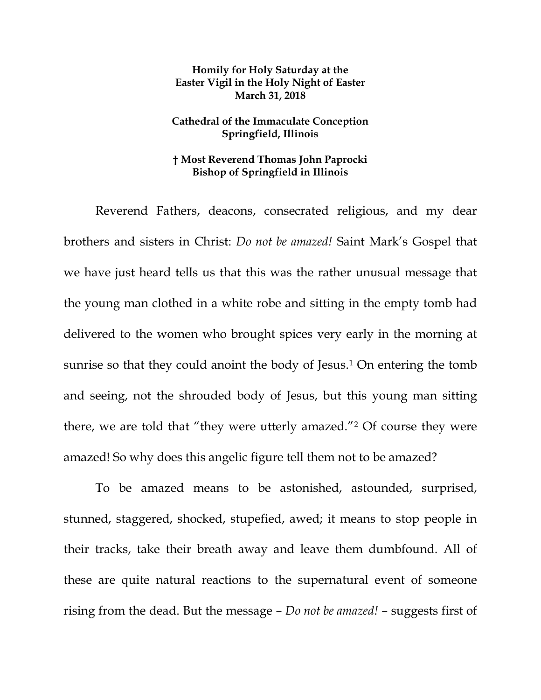## **Homily for Holy Saturday at the Easter Vigil in the Holy Night of Easter March 31, 2018**

## **Cathedral of the Immaculate Conception Springfield, Illinois**

## **† Most Reverend Thomas John Paprocki Bishop of Springfield in Illinois**

Reverend Fathers, deacons, consecrated religious, and my dear brothers and sisters in Christ: *Do not be amazed!* Saint Mark's Gospel that we have just heard tells us that this was the rather unusual message that the young man clothed in a white robe and sitting in the empty tomb had delivered to the women who brought spices very early in the morning at sunrise so that they could anoint the body of Jesus.<sup>[1](#page-3-0)</sup> On entering the tomb and seeing, not the shrouded body of Jesus, but this young man sitting there, we are told that "they were utterly amazed."[2](#page-3-1) Of course they were amazed! So why does this angelic figure tell them not to be amazed?

To be amazed means to be astonished, astounded, surprised, stunned, staggered, shocked, stupefied, awed; it means to stop people in their tracks, take their breath away and leave them dumbfound. All of these are quite natural reactions to the supernatural event of someone rising from the dead. But the message – *Do not be amazed!* – suggests first of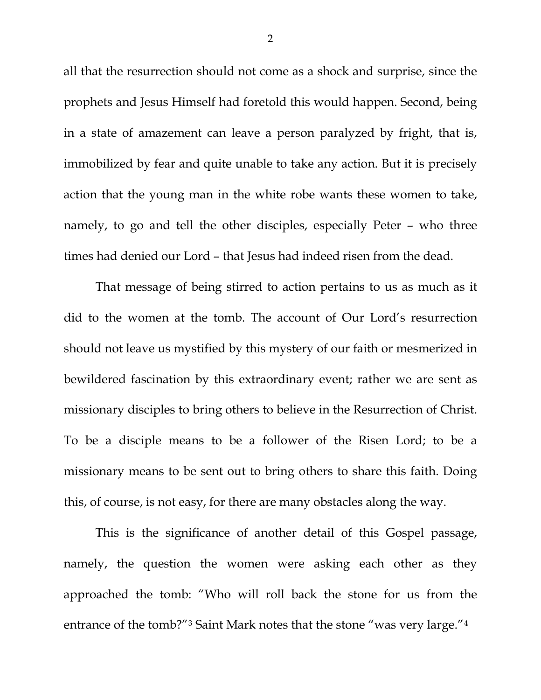all that the resurrection should not come as a shock and surprise, since the prophets and Jesus Himself had foretold this would happen. Second, being in a state of amazement can leave a person paralyzed by fright, that is, immobilized by fear and quite unable to take any action. But it is precisely action that the young man in the white robe wants these women to take, namely, to go and tell the other disciples, especially Peter – who three times had denied our Lord – that Jesus had indeed risen from the dead.

That message of being stirred to action pertains to us as much as it did to the women at the tomb. The account of Our Lord's resurrection should not leave us mystified by this mystery of our faith or mesmerized in bewildered fascination by this extraordinary event; rather we are sent as missionary disciples to bring others to believe in the Resurrection of Christ. To be a disciple means to be a follower of the Risen Lord; to be a missionary means to be sent out to bring others to share this faith. Doing this, of course, is not easy, for there are many obstacles along the way.

This is the significance of another detail of this Gospel passage, namely, the question the women were asking each other as they approached the tomb: "Who will roll back the stone for us from the entrance of the tomb?["3](#page-3-2) Saint Mark notes that the stone "was very large.["4](#page-3-3)

2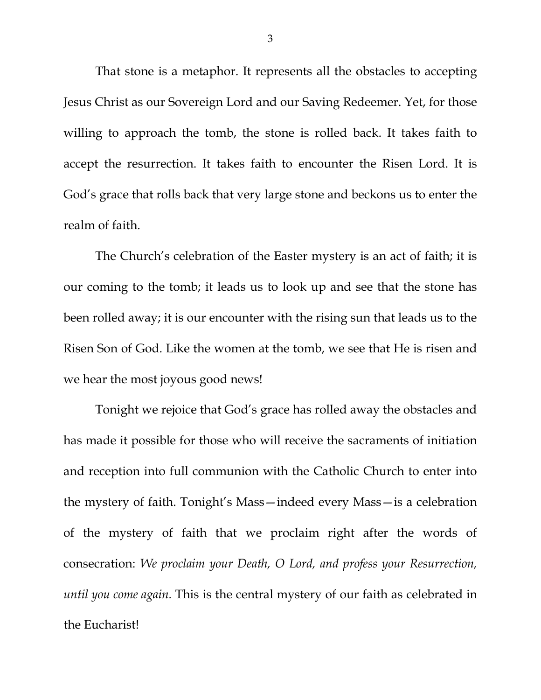That stone is a metaphor. It represents all the obstacles to accepting Jesus Christ as our Sovereign Lord and our Saving Redeemer. Yet, for those willing to approach the tomb, the stone is rolled back. It takes faith to accept the resurrection. It takes faith to encounter the Risen Lord. It is God's grace that rolls back that very large stone and beckons us to enter the realm of faith.

The Church's celebration of the Easter mystery is an act of faith; it is our coming to the tomb; it leads us to look up and see that the stone has been rolled away; it is our encounter with the rising sun that leads us to the Risen Son of God. Like the women at the tomb, we see that He is risen and we hear the most joyous good news!

Tonight we rejoice that God's grace has rolled away the obstacles and has made it possible for those who will receive the sacraments of initiation and reception into full communion with the Catholic Church to enter into the mystery of faith. Tonight's Mass—indeed every Mass—is a celebration of the mystery of faith that we proclaim right after the words of consecration: *We proclaim your Death, O Lord, and profess your Resurrection, until you come again.* This is the central mystery of our faith as celebrated in the Eucharist!